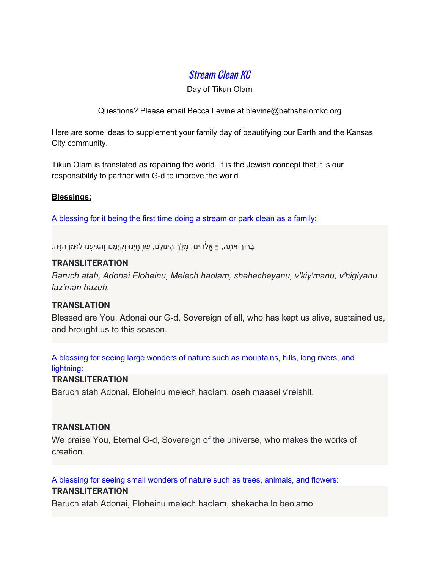# Stream Clean KC

Day of Tikun Olam

Questions? Please email Becca Levine at blevine@bethshalomkc.org

Here are some ideas to supplement your family day of beautifying our Earth and the Kansas City community.

Tikun Olam is translated as repairing the world. It is the Jewish concept that it is our responsibility to partner with G-d to improve the world.

### **Blessings:**

A blessing for it being the first time doing a stream or park clean as a family:

ָבָרוּךְ אַתָּה, יְיָ אֱלֹהֵינוּ, מֶ<mark>לֶךְ הָעוֹלָם, שֶׁהֶחֱיָנוּ וְקִיְ</mark>ּמָנוּ וְהָגִּיעָנוּ לַזְּמַן הַזֶּה.

### **TRANSLITERATION**

*Baruch atah, Adonai Eloheinu, Melech haolam, shehecheyanu, v'kiy'manu, v'higiyanu laz'man hazeh.*

## **TRANSLATION**

Blessed are You, Adonai our G-d, Sovereign of all, who has kept us alive, sustained us, and brought us to this season.

A blessing for seeing large wonders of nature such as mountains, hills, long rivers, and lightning:

## **TRANSLITERATION**

Baruch atah Adonai, Eloheinu melech haolam, oseh maasei v'reishit.

## **TRANSLATION**

We praise You, Eternal G-d, Sovereign of the universe, who makes the works of creation.

A blessing for seeing small wonders of nature such as trees, animals, and flowers:

## **TRANSLITERATION**

Baruch atah Adonai, Eloheinu melech haolam, shekacha lo beolamo.